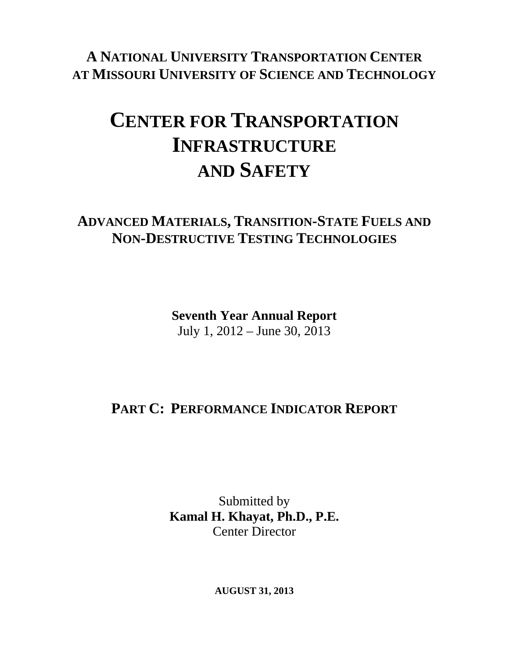**A NATIONAL UNIVERSITY TRANSPORTATION CENTER AT MISSOURI UNIVERSITY OF SCIENCE AND TECHNOLOGY**

# **CENTER FOR TRANSPORTATION INFRASTRUCTURE AND SAFETY**

### **ADVANCED MATERIALS, TRANSITION-STATE FUELS AND NON-DESTRUCTIVE TESTING TECHNOLOGIES**

**Seventh Year Annual Report**  July 1, 2012 – June 30, 2013

# **PART C: PERFORMANCE INDICATOR REPORT**

Submitted by **Kamal H. Khayat, Ph.D., P.E.**  Center Director

**AUGUST 31, 2013**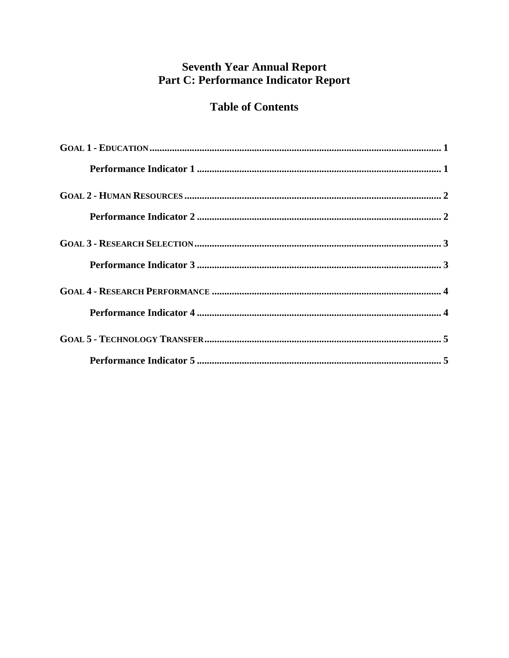### **Seventh Year Annual Report** Part C: Performance Indicator Report

### **Table of Contents**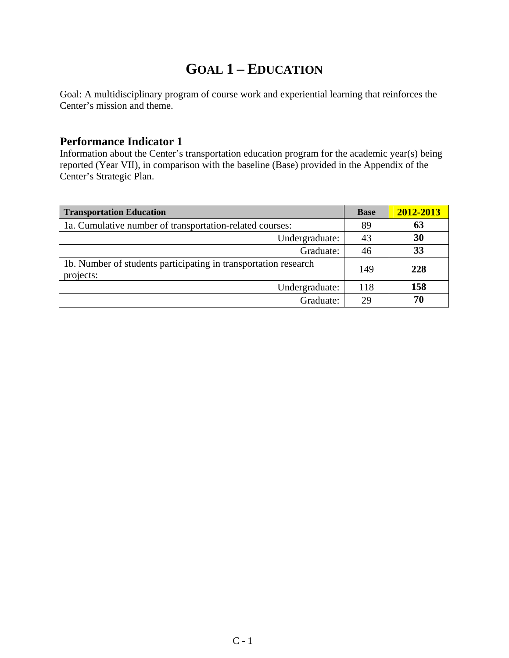### **GOAL 1 – EDUCATION**

Goal: A multidisciplinary program of course work and experiential learning that reinforces the Center's mission and theme.

#### **Performance Indicator 1**

Information about the Center's transportation education program for the academic year(s) being reported (Year VII), in comparison with the baseline (Base) provided in the Appendix of the Center's Strategic Plan.

| <b>Transportation Education</b>                                              | <b>Base</b> | 2012-2013 |
|------------------------------------------------------------------------------|-------------|-----------|
| 1a. Cumulative number of transportation-related courses:                     | 89          | 63        |
| Undergraduate:                                                               | 43          | 30        |
| Graduate:                                                                    | 46          | 33        |
| 1b. Number of students participating in transportation research<br>projects: | 149         | 228       |
| Undergraduate:                                                               | 118         | 158       |
| Graduate:                                                                    | 29          | 70        |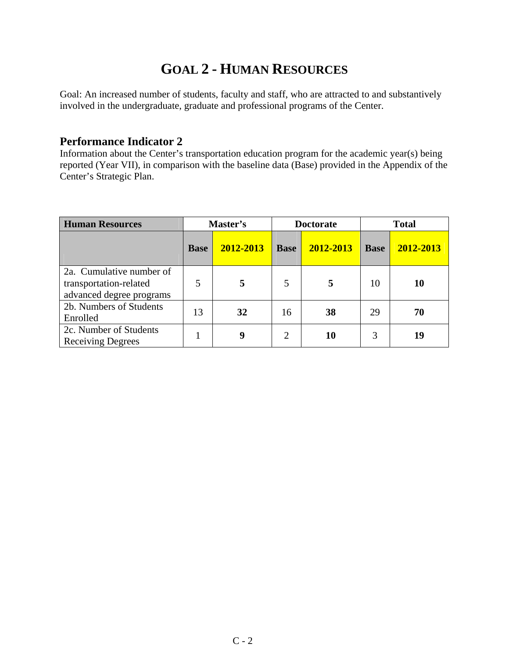### **GOAL 2 - HUMAN RESOURCES**

Goal: An increased number of students, faculty and staff, who are attracted to and substantively involved in the undergraduate, graduate and professional programs of the Center.

#### **Performance Indicator 2**

Information about the Center's transportation education program for the academic year(s) being reported (Year VII), in comparison with the baseline data (Base) provided in the Appendix of the Center's Strategic Plan.

| <b>Human Resources</b>                                                         | Master's    |           | <b>Doctorate</b> |           |             | <b>Total</b> |
|--------------------------------------------------------------------------------|-------------|-----------|------------------|-----------|-------------|--------------|
|                                                                                | <b>Base</b> | 2012-2013 | <b>Base</b>      | 2012-2013 | <b>Base</b> | 2012-2013    |
| 2a. Cumulative number of<br>transportation-related<br>advanced degree programs | 5           |           | 5                | 5         | 10          | 10           |
| 2b. Numbers of Students<br>Enrolled                                            | 13          | 32        | 16               | 38        | 29          | 70           |
| 2c. Number of Students<br><b>Receiving Degrees</b>                             |             | 9         | $\overline{2}$   | 10        | 3           | 19           |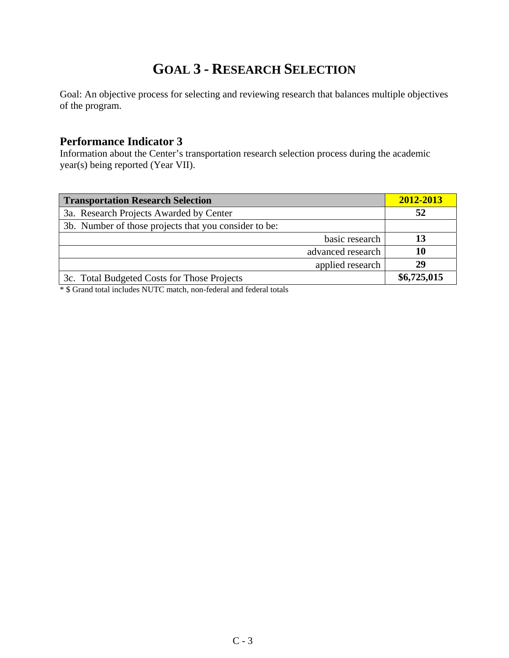# **GOAL 3 - RESEARCH SELECTION**

Goal: An objective process for selecting and reviewing research that balances multiple objectives of the program.

#### **Performance Indicator 3**

Information about the Center's transportation research selection process during the academic year(s) being reported (Year VII).

| <b>Transportation Research Selection</b>              | 2012-2013   |
|-------------------------------------------------------|-------------|
| 3a. Research Projects Awarded by Center               | 52          |
| 3b. Number of those projects that you consider to be: |             |
| basic research                                        | 13          |
| advanced research                                     | 10          |
| applied research                                      | 29          |
| 3c. Total Budgeted Costs for Those Projects           | \$6,725,015 |

\* \$ Grand total includes NUTC match, non-federal and federal totals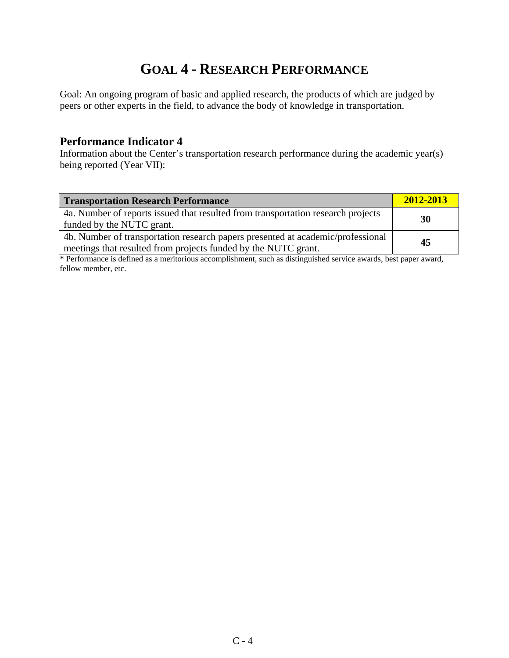# **GOAL 4 - RESEARCH PERFORMANCE**

Goal: An ongoing program of basic and applied research, the products of which are judged by peers or other experts in the field, to advance the body of knowledge in transportation.

#### **Performance Indicator 4**

Information about the Center's transportation research performance during the academic year(s) being reported (Year VII):

| <b>Transportation Research Performance</b>                                                                                                        | 2012-2013 |
|---------------------------------------------------------------------------------------------------------------------------------------------------|-----------|
| 4a. Number of reports issued that resulted from transportation research projects<br>funded by the NUTC grant.                                     | 30        |
| 4b. Number of transportation research papers presented at academic/professional<br>meetings that resulted from projects funded by the NUTC grant. | 45        |

\* Performance is defined as a meritorious accomplishment, such as distinguished service awards, best paper award, fellow member, etc.